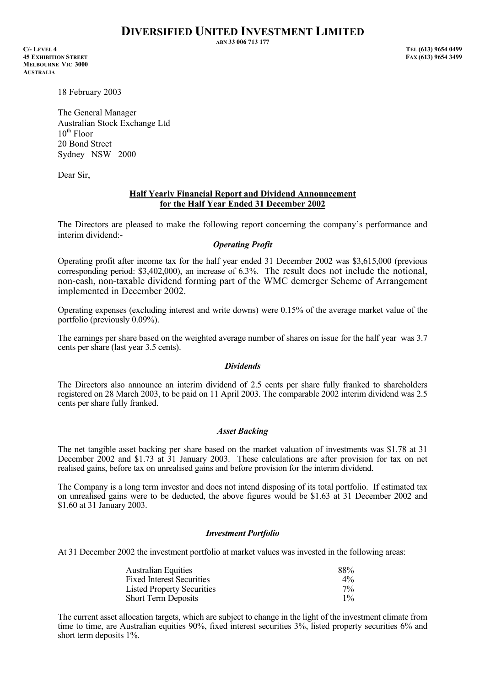# **DIVERSIFIED UNITED INVESTMENT LIMITED**

**ABN 33 006 713 177** 

**C/- LEVEL 4 TEL (613) 9654 0499 45 EXHIBITION STREET MELBOURNE VIC 3000 AUSTRALIA**

18 February 2003

The General Manager Australian Stock Exchange Ltd  $10^{th}$  Floor 20 Bond Street Sydney NSW 2000

Dear Sir,

## **Half Yearly Financial Report and Dividend Announcement for the Half Year Ended 31 December 2002**

The Directors are pleased to make the following report concerning the company's performance and interim dividend:-

## *Operating Profit*

Operating profit after income tax for the half year ended 31 December 2002 was \$3,615,000 (previous corresponding period: \$3,402,000), an increase of 6.3%. The result does not include the notional, non-cash, non-taxable dividend forming part of the WMC demerger Scheme of Arrangement implemented in December 2002.

Operating expenses (excluding interest and write downs) were 0.15% of the average market value of the portfolio (previously 0.09%).

The earnings per share based on the weighted average number of shares on issue for the half year was 3.7 cents per share (last year 3.5 cents).

#### *Dividends*

The Directors also announce an interim dividend of 2.5 cents per share fully franked to shareholders registered on 28 March 2003, to be paid on 11 April 2003. The comparable 2002 interim dividend was 2.5 cents per share fully franked.

# *Asset Backing*

The net tangible asset backing per share based on the market valuation of investments was \$1.78 at 31 December 2002 and \$1.73 at 31 January 2003. These calculations are after provision for tax on net realised gains, before tax on unrealised gains and before provision for the interim dividend.

The Company is a long term investor and does not intend disposing of its total portfolio. If estimated tax on unrealised gains were to be deducted, the above figures would be \$1.63 at 31 December 2002 and \$1.60 at 31 January 2003.

#### *Investment Portfolio*

At 31 December 2002 the investment portfolio at market values was invested in the following areas:

| <b>Australian Equities</b>        | 88%   |
|-----------------------------------|-------|
| <b>Fixed Interest Securities</b>  | $4\%$ |
| <b>Listed Property Securities</b> | $7\%$ |
| <b>Short Term Deposits</b>        | $1\%$ |

The current asset allocation targets, which are subject to change in the light of the investment climate from time to time, are Australian equities 90%, fixed interest securities 3%, listed property securities 6% and short term deposits 1%.